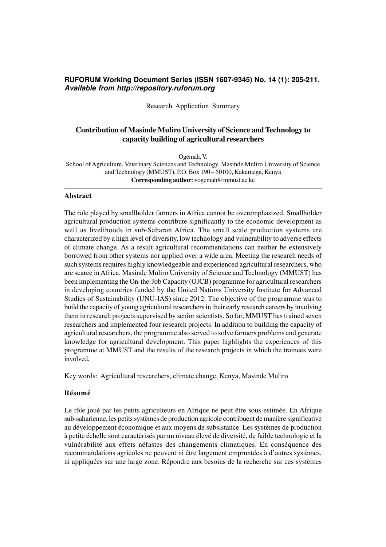# **RUFORUM Working Document Series (ISSN 1607-9345) No. 14 (1): 205-211.** *Available from http://repository.ruforum.org*

Research Application Summary

# **Contribution of Masinde Muliro University of Science and Technology to capacity building of agricultural researchers**

Ogemah, V.

School of Agriculture, Veterinary Sciences and Technology, Masinde Muliro University of Science and Technology (MMUST), P.O. Box 190 – 50100, Kakamega, Kenya **Corresponding author:** vogemah@mmust.ac.ke

### **Abstract**

The role played by smallholder farmers in Africa cannot be overemphasized. Smallholder agricultural production systems contribute significantly to the economic development as well as livelihoods in sub-Saharan Africa. The small scale production systems are characterized by a high level of diversity, low technology and vulnerability to adverse effects of climate change. As a result agricultural recommendations can neither be extensively borrowed from other systems nor applied over a wide area. Meeting the research needs of such systems requires highly knowledgeable and experienced agricultural researchers, who are scarce in Africa. Masinde Muliro University of Science and Technology (MMUST) has been implementing the On-the-Job Capacity (OJCB) programme for agricultural researchers in developing countries funded by the United Nations University Institute for Advanced Studies of Sustainability (UNU-IAS) since 2012. The objective of the programme was to build the capacity of young agricultural researchers in their early research careers by involving them in research projects supervised by senior scientists. So far, MMUST has trained seven researchers and implemented four research projects. In addition to building the capacity of agricultural researchers, the programme also served to solve farmers problems and generate knowledge for agricultural development. This paper highlights the experiences of this programme at MMUST and the results of the research projects in which the trainees were involved.

Key words: Agricultural researchers, climate change, Kenya, Masinde Muliro

### **Résumé**

Le rôle joué par les petits agriculteurs en Afrique ne peut être sous-estimée. En Afrique sub-saharienne, les petits systèmes de production agricole contribuent de manière significative au développement économique et aux moyens de subsistance. Les systèmes de production à petite échelle sont caractérisés par un niveau élevé de diversité, de faible technologie et la vulnérabilité aux effets néfastes des changements climatiques. En conséquence des recommandations agricoles ne peuvent ni être largement empruntées à d'autres systèmes, ni appliquées sur une large zone. Répondre aux besoins de la recherche sur ces systèmes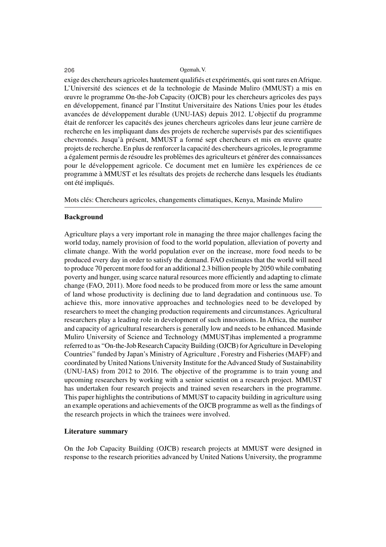#### 206 Ogemah, V.

exige des chercheurs agricoles hautement qualifiés et expérimentés, qui sont rares en Afrique. L'Université des sciences et de la technologie de Masinde Muliro (MMUST) a mis en œuvre le programme On-the-Job Capacity (OJCB) pour les chercheurs agricoles des pays en développement, financé par l'Institut Universitaire des Nations Unies pour les études avancées de développement durable (UNU-IAS) depuis 2012. L'objectif du programme était de renforcer les capacités des jeunes chercheurs agricoles dans leur jeune carrière de recherche en les impliquant dans des projets de recherche supervisés par des scientifiques chevronnés. Jusqu'à présent, MMUST a formé sept chercheurs et mis en œuvre quatre projets de recherche. En plus de renforcer la capacité des chercheurs agricoles, le programme a également permis de résoudre les problèmes des agriculteurs et générer des connaissances pour le développement agricole. Ce document met en lumière les expériences de ce programme à MMUST et les résultats des projets de recherche dans lesquels les étudiants ont été impliqués.

Mots clés: Chercheurs agricoles, changements climatiques, Kenya, Masinde Muliro

### **Background**

Agriculture plays a very important role in managing the three major challenges facing the world today, namely provision of food to the world population, alleviation of poverty and climate change. With the world population ever on the increase, more food needs to be produced every day in order to satisfy the demand. FAO estimates that the world will need to produce 70 percent more food for an additional 2.3 billion people by 2050 while combating poverty and hunger, using scarce natural resources more efficiently and adapting to climate change (FAO, 2011). More food needs to be produced from more or less the same amount of land whose productivity is declining due to land degradation and continuous use. To achieve this, more innovative approaches and technologies need to be developed by researchers to meet the changing production requirements and circumstances. Agricultural researchers play a leading role in development of such innovations. In Africa, the number and capacity of agricultural researchers is generally low and needs to be enhanced. Masinde Muliro University of Science and Technology (MMUST)has implemented a programme referred to as "On-the-Job Research Capacity Building (OJCB) for Agriculture in Developing Countries" funded by Japan's Ministry of Agriculture , Forestry and Fisheries (MAFF) and coordinated by United Nations University Institute for the Advanced Study of Sustainability (UNU-IAS) from 2012 to 2016. The objective of the programme is to train young and upcoming researchers by working with a senior scientist on a research project. MMUST has undertaken four research projects and trained seven researchers in the programme. This paper highlights the contributions of MMUST to capacity building in agriculture using an example operations and achievements of the OJCB programme as well as the findings of the research projects in which the trainees were involved.

## **Literature summary**

On the Job Capacity Building (OJCB) research projects at MMUST were designed in response to the research priorities advanced by United Nations University, the programme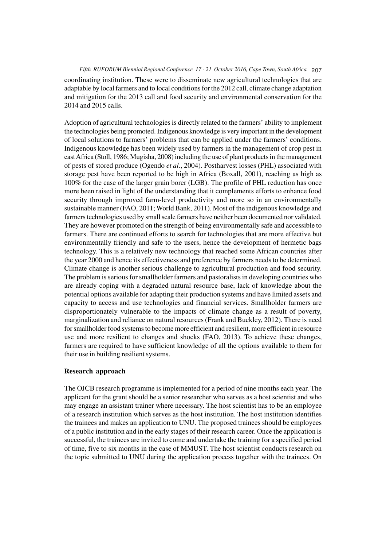# *Fifth RUFORUM Biennial Regional Conference 17 - 21 October 2016, Cape Town, South Africa* 207 coordinating institution. These were to disseminate new agricultural technologies that are adaptable by local farmers and to local conditions for the 2012 call, climate change adaptation and mitigation for the 2013 call and food security and environmental conservation for the

Adoption of agricultural technologies is directly related to the farmers' ability to implement the technologies being promoted. Indigenous knowledge is very important in the development of local solutions to farmers' problems that can be applied under the farmers' conditions. Indigenous knowledge has been widely used by farmers in the management of crop pest in east Africa (Stoll, 1986; Mugisha, 2008) including the use of plant products in the management of pests of stored produce (Ogendo *et al*., 2004). Postharvest losses (PHL) associated with storage pest have been reported to be high in Africa (Boxall, 2001), reaching as high as 100% for the case of the larger grain borer (LGB). The profile of PHL reduction has once more been raised in light of the understanding that it complements efforts to enhance food security through improved farm-level productivity and more so in an environmentally sustainable manner (FAO, 2011; World Bank, 2011). Most of the indigenous knowledge and farmers technologies used by small scale farmers have neither been documented nor validated. They are however promoted on the strength of being environmentally safe and accessible to farmers. There are continued efforts to search for technologies that are more effective but environmentally friendly and safe to the users, hence the development of hermetic bags technology. This is a relatively new technology that reached some African countries after the year 2000 and hence its effectiveness and preference by farmers needs to be determined. Climate change is another serious challenge to agricultural production and food security. The problem is serious for smallholder farmers and pastoralists in developing countries who are already coping with a degraded natural resource base, lack of knowledge about the potential options available for adapting their production systems and have limited assets and capacity to access and use technologies and financial services. Smallholder farmers are disproportionately vulnerable to the impacts of climate change as a result of poverty, marginalization and reliance on natural resources (Frank and Buckley, 2012). There is need for smallholder food systems to become more efficient and resilient, more efficient in resource use and more resilient to changes and shocks (FAO, 2013). To achieve these changes, farmers are required to have sufficient knowledge of all the options available to them for their use in building resilient systems.

# **Research approach**

2014 and 2015 calls.

The OJCB research programme is implemented for a period of nine months each year. The applicant for the grant should be a senior researcher who serves as a host scientist and who may engage an assistant trainer where necessary. The host scientist has to be an employee of a research institution which serves as the host institution. The host institution identifies the trainees and makes an application to UNU. The proposed trainees should be employees of a public institution and in the early stages of their research career. Once the application is successful, the trainees are invited to come and undertake the training for a specified period of time, five to six months in the case of MMUST. The host scientist conducts research on the topic submitted to UNU during the application process together with the trainees. On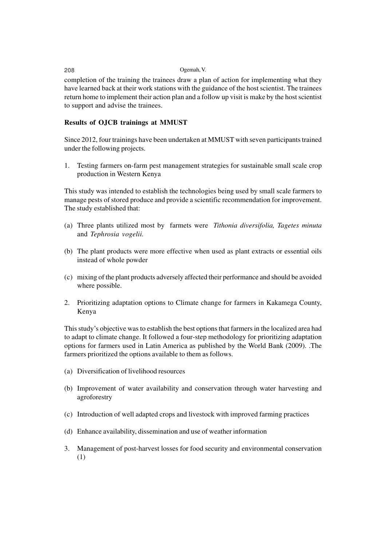#### 208 Ogemah, V.

completion of the training the trainees draw a plan of action for implementing what they have learned back at their work stations with the guidance of the host scientist. The trainees return home to implement their action plan and a follow up visit is make by the host scientist to support and advise the trainees.

# **Results of OJCB trainings at MMUST**

Since 2012, four trainings have been undertaken at MMUST with seven participants trained under the following projects.

1. Testing farmers on-farm pest management strategies for sustainable small scale crop production in Western Kenya

This study was intended to establish the technologies being used by small scale farmers to manage pests of stored produce and provide a scientific recommendation for improvement. The study established that:

- (a) Three plants utilized most by farmets were *Tithonia diversifolia, Tagetes minuta* and *Tephrosia vogelii.*
- (b) The plant products were more effective when used as plant extracts or essential oils instead of whole powder
- (c) mixing of the plant products adversely affected their performance and should be avoided where possible.
- 2. Prioritizing adaptation options to Climate change for farmers in Kakamega County, Kenya

This study's objective was to establish the best options that farmers in the localized area had to adapt to climate change. It followed a four-step methodology for prioritizing adaptation options for farmers used in Latin America as published by the World Bank (2009). .The farmers prioritized the options available to them as follows.

- (a) Diversification of livelihood resources
- (b) Improvement of water availability and conservation through water harvesting and agroforestry
- (c) Introduction of well adapted crops and livestock with improved farming practices
- (d) Enhance availability, dissemination and use of weather information
- 3. Management of post-harvest losses for food security and environmental conservation (1)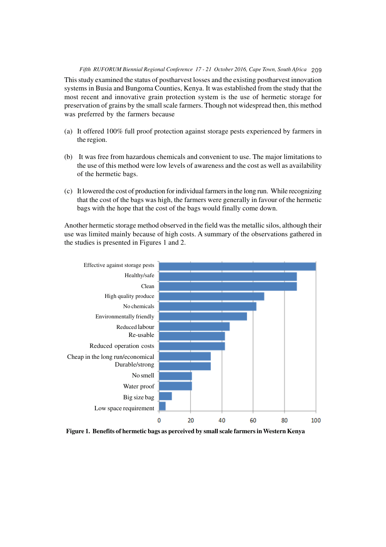# *Fifth RUFORUM Biennial Regional Conference 17 - 21 October 2016, Cape Town, South Africa* 209

This study examined the status of postharvest losses and the existing postharvest innovation systems in Busia and Bungoma Counties, Kenya. It was established from the study that the most recent and innovative grain protection system is the use of hermetic storage for preservation of grains by the small scale farmers. Though not widespread then, this method was preferred by the farmers because

- (a) It offered 100% full proof protection against storage pests experienced by farmers in the region.
- (b) It was free from hazardous chemicals and convenient to use. The major limitations to the use of this method were low levels of awareness and the cost as well as availability of the hermetic bags.
- (c) It lowered the cost of production for individual farmers in the long run. While recognizing that the cost of the bags was high, the farmers were generally in favour of the hermetic bags with the hope that the cost of the bags would finally come down.

Another hermetic storage method observed in the field was the metallic silos, although their use was limited mainly because of high costs. A summary of the observations gathered in the studies is presented in Figures 1 and 2.



**Figure 1. Benefits of hermetic bags as perceived by small scale farmers in Western Kenya**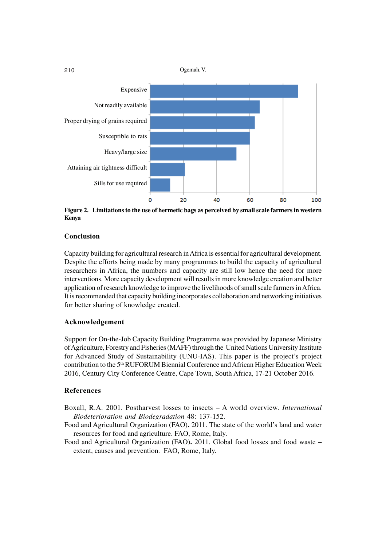

**Figure 2. Limitations to the use of hermetic bags as perceived by small scale farmers in western Kenya**

# **Conclusion**

Capacity building for agricultural research in Africa is essential for agricultural development. Despite the efforts being made by many programmes to build the capacity of agricultural researchers in Africa, the numbers and capacity are still low hence the need for more interventions. More capacity development will results in more knowledge creation and better application of research knowledge to improve the livelihoods of small scale farmers in Africa. It is recommended that capacity building incorporates collaboration and networking initiatives for better sharing of knowledge created.

## **Acknowledgement**

Support for On-the-Job Capacity Building Programme was provided by Japanese Ministry of Agriculture, Forestry and Fisheries (MAFF) through the United Nations University Institute for Advanced Study of Sustainability (UNU-IAS). This paper is the project's project contribution to the 5<sup>th</sup> RUFORUM Biennial Conference and African Higher Education Week 2016, Century City Conference Centre, Cape Town, South Africa, 17-21 October 2016.

## **References**

- Boxall, R.A. 2001. Postharvest losses to insects A world overview. *International Biodeterioration and Biodegradation* 48: 137-152.
- Food and Agricultural Organization (FAO)**.** 2011. The state of the world's land and water resources for food and agriculture. FAO, Rome, Italy.
- Food and Agricultural Organization (FAO)**.** 2011. Global food losses and food waste extent, causes and prevention. FAO, Rome, Italy.